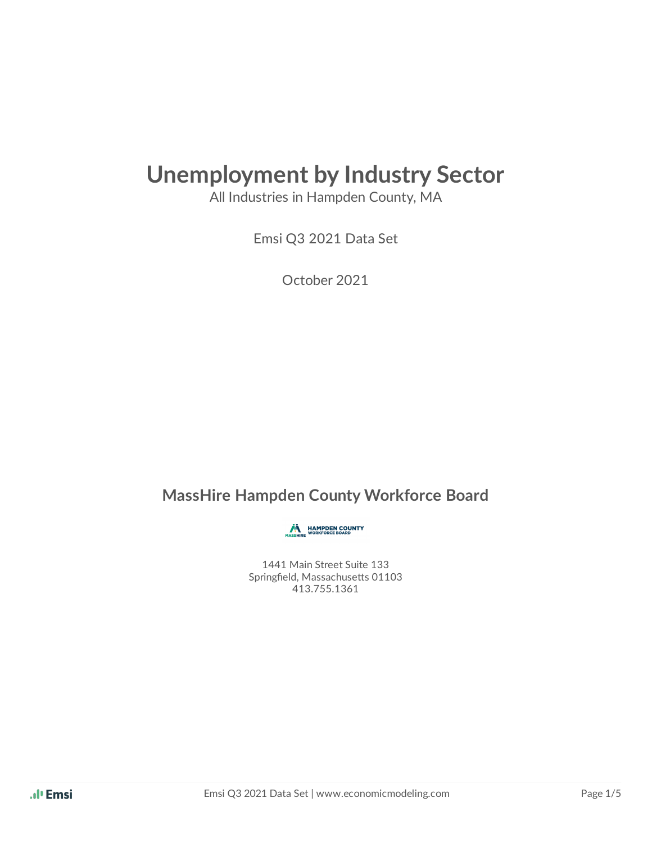## **Unemployment by Industry Sector**

All Industries in Hampden County, MA

Emsi Q3 2021 Data Set

October 2021

#### **MassHire Hampden County Workforce Board**

**MASSHIRE WORKFORCE BOARD** 

1441 Main Street Suite 133 Springfield, Massachusetts 01103 413.755.1361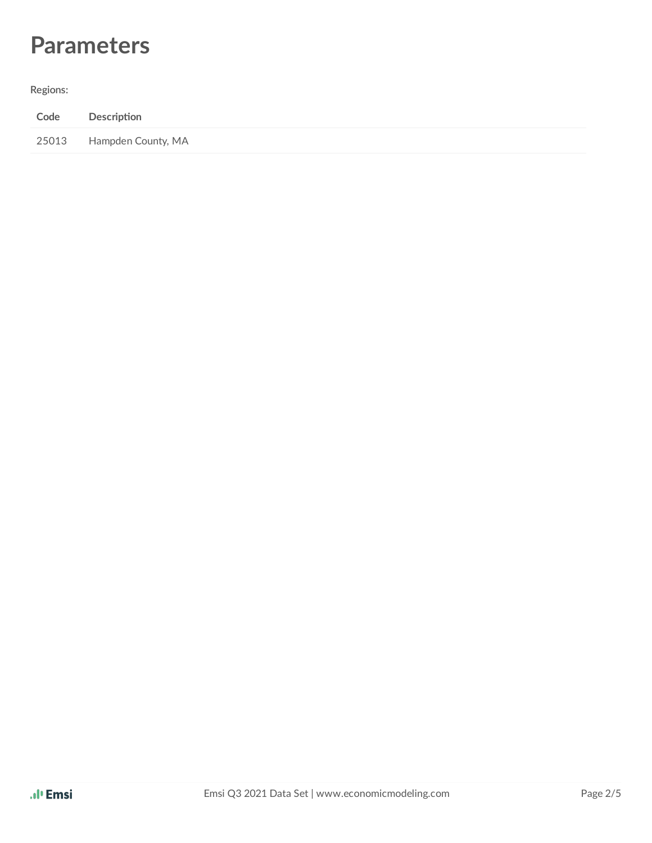### **Parameters**

**Regions:**

| Code  | Description        |
|-------|--------------------|
| 25013 | Hampden County, MA |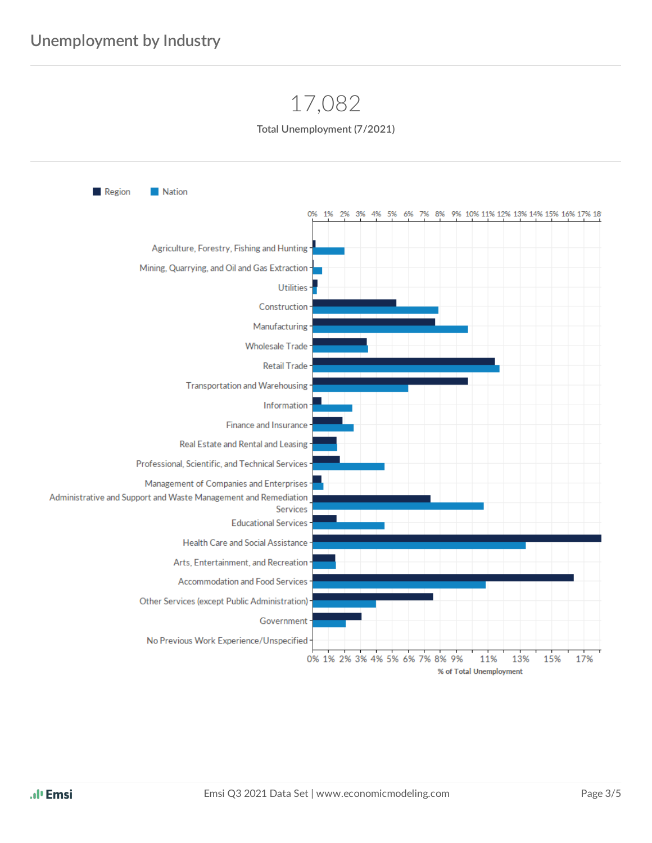### 17,082



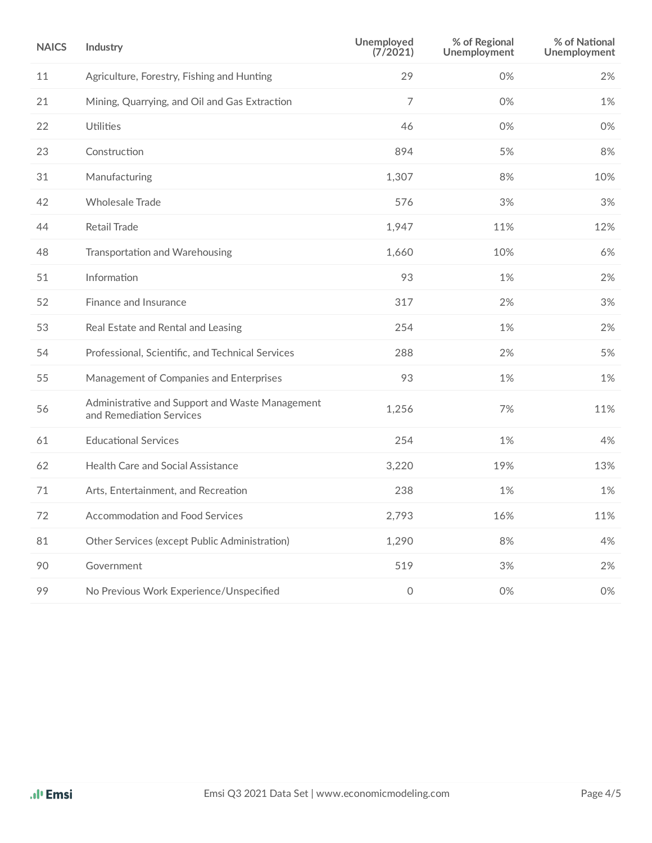| <b>NAICS</b> | Industry                                                                    | Unemployed<br>(7/2021) | % of Regional<br>Unemployment | % of National<br>Unemployment |
|--------------|-----------------------------------------------------------------------------|------------------------|-------------------------------|-------------------------------|
| 11           | Agriculture, Forestry, Fishing and Hunting                                  | 29                     | 0%                            | 2%                            |
| 21           | Mining, Quarrying, and Oil and Gas Extraction                               | $\overline{7}$         | 0%                            | 1%                            |
| 22           | Utilities                                                                   | 46                     | 0%                            | 0%                            |
| 23           | Construction                                                                | 894                    | 5%                            | 8%                            |
| 31           | Manufacturing                                                               | 1,307                  | 8%                            | 10%                           |
| 42           | <b>Wholesale Trade</b>                                                      | 576                    | 3%                            | 3%                            |
| 44           | <b>Retail Trade</b>                                                         | 1,947                  | 11%                           | 12%                           |
| 48           | Transportation and Warehousing                                              | 1,660                  | 10%                           | 6%                            |
| 51           | Information                                                                 | 93                     | 1%                            | 2%                            |
| 52           | Finance and Insurance                                                       | 317                    | 2%                            | 3%                            |
| 53           | Real Estate and Rental and Leasing                                          | 254                    | 1%                            | 2%                            |
| 54           | Professional, Scientific, and Technical Services                            | 288                    | 2%                            | 5%                            |
| 55           | Management of Companies and Enterprises                                     | 93                     | 1%                            | 1%                            |
| 56           | Administrative and Support and Waste Management<br>and Remediation Services | 1,256                  | 7%                            | 11%                           |
| 61           | <b>Educational Services</b>                                                 | 254                    | 1%                            | 4%                            |
| 62           | Health Care and Social Assistance                                           | 3,220                  | 19%                           | 13%                           |
| 71           | Arts, Entertainment, and Recreation                                         | 238                    | 1%                            | 1%                            |
| 72           | Accommodation and Food Services                                             | 2,793                  | 16%                           | 11%                           |
| 81           | Other Services (except Public Administration)                               | 1,290                  | 8%                            | 4%                            |
| 90           | Government                                                                  | 519                    | 3%                            | 2%                            |
| 99           | No Previous Work Experience/Unspecified                                     | $\mathsf O$            | 0%                            | 0%                            |